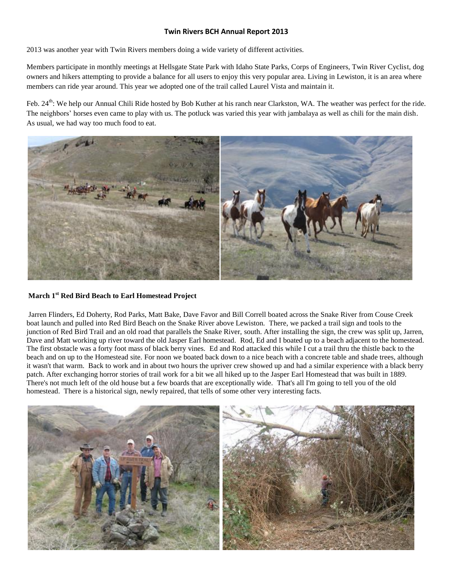# **Twin Rivers BCH Annual Report 2013**

2013 was another year with Twin Rivers members doing a wide variety of different activities.

Members participate in monthly meetings at Hellsgate State Park with Idaho State Parks, Corps of Engineers, Twin River Cyclist, dog owners and hikers attempting to provide a balance for all users to enjoy this very popular area. Living in Lewiston, it is an area where members can ride year around. This year we adopted one of the trail called Laurel Vista and maintain it.

Feb. 24<sup>th</sup>: We help our Annual Chili Ride hosted by Bob Kuther at his ranch near Clarkston, WA. The weather was perfect for the ride. The neighbors' horses even came to play with us. The potluck was varied this year with jambalaya as well as chili for the main dish. As usual, we had way too much food to eat.



## **March 1st Red Bird Beach to Earl Homestead Project**

Jarren Flinders, Ed Doherty, Rod Parks, Matt Bake, Dave Favor and Bill Correll boated across the Snake River from Couse Creek boat launch and pulled into Red Bird Beach on the Snake River above Lewiston. There, we packed a trail sign and tools to the junction of Red Bird Trail and an old road that parallels the Snake River, south. After installing the sign, the crew was split up, Jarren, Dave and Matt working up river toward the old Jasper Earl homestead. Rod, Ed and I boated up to a beach adjacent to the homestead. The first obstacle was a forty foot mass of black berry vines. Ed and Rod attacked this while I cut a trail thru the thistle back to the beach and on up to the Homestead site. For noon we boated back down to a nice beach with a concrete table and shade trees, although it wasn't that warm. Back to work and in about two hours the upriver crew showed up and had a similar experience with a black berry patch. After exchanging horror stories of trail work for a bit we all hiked up to the Jasper Earl Homestead that was built in 1889. There's not much left of the old house but a few boards that are exceptionally wide. That's all I'm going to tell you of the old homestead. There is a historical sign, newly repaired, that tells of some other very interesting facts.

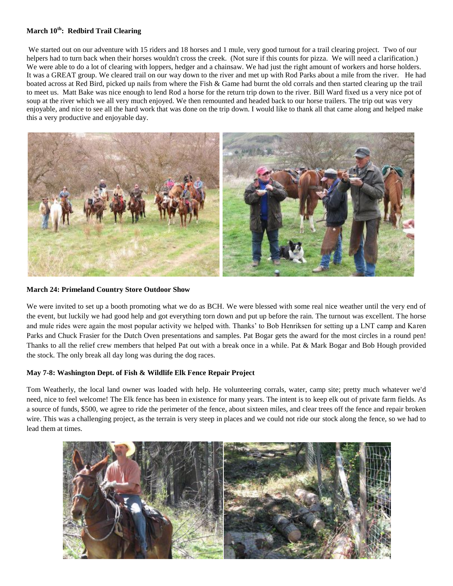## **March 10th: Redbird Trail Clearing**

We started out on our adventure with 15 riders and 18 horses and 1 mule, very good turnout for a trail clearing project. Two of our helpers had to turn back when their horses wouldn't cross the creek. (Not sure if this counts for pizza. We will need a clarification.) We were able to do a lot of clearing with loppers, hedger and a chainsaw. We had just the right amount of workers and horse holders. It was a GREAT group. We cleared trail on our way down to the river and met up with Rod Parks about a mile from the river. He had boated across at Red Bird, picked up nails from where the Fish & Game had burnt the old corrals and then started clearing up the trail to meet us. Matt Bake was nice enough to lend Rod a horse for the return trip down to the river. Bill Ward fixed us a very nice pot of soup at the river which we all very much enjoyed. We then remounted and headed back to our horse trailers. The trip out was very enjoyable, and nice to see all the hard work that was done on the trip down. I would like to thank all that came along and helped make this a very productive and enjoyable day.



### **March 24: Primeland Country Store Outdoor Show**

We were invited to set up a booth promoting what we do as BCH. We were blessed with some real nice weather until the very end of the event, but luckily we had good help and got everything torn down and put up before the rain. The turnout was excellent. The horse and mule rides were again the most popular activity we helped with. Thanks' to Bob Henriksen for setting up a LNT camp and Karen Parks and Chuck Frasier for the Dutch Oven presentations and samples. Pat Bogar gets the award for the most circles in a round pen! Thanks to all the relief crew members that helped Pat out with a break once in a while. Pat & Mark Bogar and Bob Hough provided the stock. The only break all day long was during the dog races.

## **May 7-8: Washington Dept. of Fish & Wildlife Elk Fence Repair Project**

Tom Weatherly, the local land owner was loaded with help. He volunteering corrals, water, camp site; pretty much whatever we'd need, nice to feel welcome! The Elk fence has been in existence for many years. The intent is to keep elk out of private farm fields. As a source of funds, \$500, we agree to ride the perimeter of the fence, about sixteen miles, and clear trees off the fence and repair broken wire. This was a challenging project, as the terrain is very steep in places and we could not ride our stock along the fence, so we had to lead them at times.

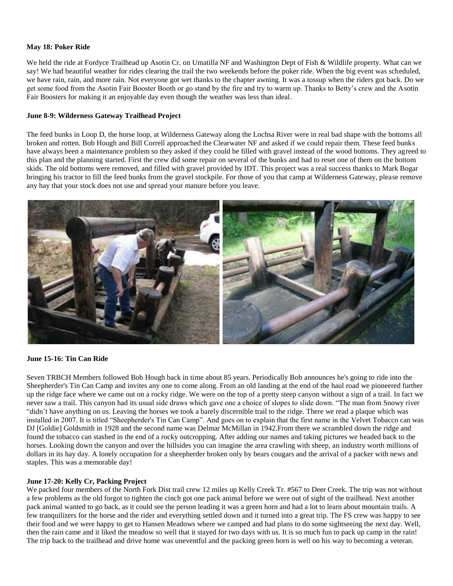### **May 18: Poker Ride**

We held the ride at Fordyce Trailhead up Asotin Cr. on Umatilla NF and Washington Dept of Fish & Wildlife property. What can we say! We had beautiful weather for rides clearing the trail the two weekends before the poker ride. When the big event was scheduled, we have rain, rain, and more rain. Not everyone got wet thanks to the chapter awning. It was a tossup when the riders got back. Do we get some food from the Asotin Fair Booster Booth or go stand by the fire and try to warm up. Thanks to Betty's crew and the Asotin Fair Boosters for making it an enjoyable day even though the weather was less than ideal.

### **June 8-9: Wilderness Gateway Trailhead Project**

The feed bunks in Loop D, the horse loop, at Wilderness Gateway along the Lochsa River were in real bad shape with the bottoms all broken and rotten. Bob Hough and Bill Correll approached the Clearwater NF and asked if we could repair them. These feed bunks have always been a maintenance problem so they asked if they could be filled with gravel instead of the wood bottoms. They agreed to this plan and the planning started. First the crew did some repair on several of the bunks and had to reset one of them on the bottom skids. The old bottoms were removed, and filled with gravel provided by IDT. This project was a real success thanks to Mark Bogar bringing his tractor to fill the feed bunks from the gravel stockpile. For those of you that camp at Wilderness Gateway, please remove any hay that your stock does not use and spread your manure before you leave.



#### **June 15-16: Tin Can Ride**

Seven TRBCH Members followed Bob Hough back in time about 85 years. Periodically Bob announces he's going to ride into the Sheepherder's Tin Can Camp and invites any one to come along. From an old landing at the end of the haul road we pioneered further up the ridge face where we came out on a rocky ridge. We were on the top of a pretty steep canyon without a sign of a trail. In fact we never saw a trail. This canyon had its usual side draws which gave one a choice of slopes to slide down. "The man from Snowy river "didn't have anything on us. Leaving the horses we took a barely discernible trail to the ridge. There we read a plaque which was installed in 2007. It is titled "Sheepherder's Tin Can Camp". And goes on to explain that the first name in the Velvet Tobacco can was DJ [Goldie] Goldsmith in 1928 and the second name was Delmar McMillan in 1942.From there we scrambled down the ridge and found the tobacco can stashed in the end of a rocky outcropping. After adding our names and taking pictures we headed back to the horses. Looking down the canyon and over the hillsides you can imagine the area crawling with sheep, an industry worth millions of dollars in its hay day. A lonely occupation for a sheepherder broken only by bears cougars and the arrival of a packer with news and staples. This was a memorable day!

#### **June 17-20: Kelly Cr, Packing Project**

We packed four members of the North Fork Dist trail crew 12 miles up Kelly Creek Tr. #567 to Deer Creek. The trip was not without a few problems as the old forgot to tighten the cinch got one pack animal before we were out of sight of the trailhead. Next another pack animal wanted to go back, as it could see the person leading it was a green horn and had a lot to learn about mountain trails. A few tranquilizers for the horse and the rider and everything settled down and it turned into a great trip. The FS crew was happy to see their food and we were happy to get to Hansen Meadows where we camped and had plans to do some sightseeing the next day. Well, then the rain came and it liked the meadow so well that it stayed for two days with us. It is so much fun to pack up camp in the rain! The trip back to the trailhead and drive home was uneventful and the packing green horn is well on his way to becoming a veteran.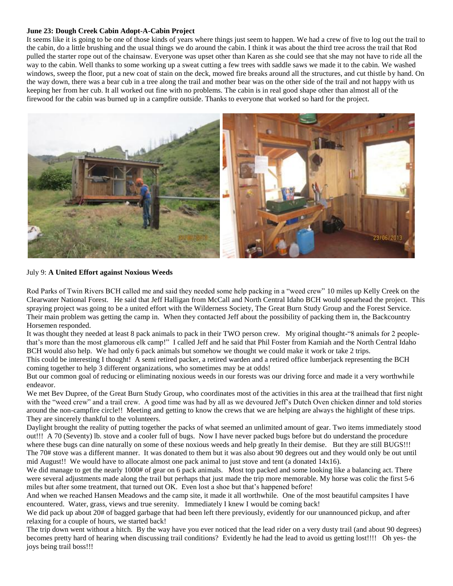### **June 23: Dough Creek Cabin Adopt-A-Cabin Project**

It seems like it is going to be one of those kinds of years where things just seem to happen. We had a crew of five to log out the trail to the cabin, do a little brushing and the usual things we do around the cabin. I think it was about the third tree across the trail that Rod pulled the starter rope out of the chainsaw. Everyone was upset other than Karen as she could see that she may not have to ride all the way to the cabin. Well thanks to some working up a sweat cutting a few trees with saddle saws we made it to the cabin. We washed windows, sweep the floor, put a new coat of stain on the deck, mowed fire breaks around all the structures, and cut thistle by hand. On the way down, there was a bear cub in a tree along the trail and mother bear was on the other side of the trail and not happy with us keeping her from her cub. It all worked out fine with no problems. The cabin is in real good shape other than almost all of the firewood for the cabin was burned up in a campfire outside. Thanks to everyone that worked so hard for the project.



#### July 9: **A United Effort against Noxious Weeds**

Rod Parks of Twin Rivers BCH called me and said they needed some help packing in a "weed crew" 10 miles up Kelly Creek on the Clearwater National Forest. He said that Jeff Halligan from McCall and North Central Idaho BCH would spearhead the project. This spraying project was going to be a united effort with the Wilderness Society, The Great Burn Study Group and the Forest Service. Their main problem was getting the camp in. When they contacted Jeff about the possibility of packing them in, the Backcountry Horsemen responded.

It was thought they needed at least 8 pack animals to pack in their TWO person crew. My original thought-"8 animals for 2 peoplethat's more than the most glamorous elk camp!" I called Jeff and he said that Phil Foster from Kamiah and the North Central Idaho BCH would also help. We had only 6 pack animals but somehow we thought we could make it work or take 2 trips.

This could be interesting I thought! A semi retired packer, a retired warden and a retired office lumberjack representing the BCH coming together to help 3 different organizations, who sometimes may be at odds!

But our common goal of reducing or eliminating noxious weeds in our forests was our driving force and made it a very worthwhile endeavor.

We met Bev Dupree, of the Great Burn Study Group, who coordinates most of the activities in this area at the trailhead that first night with the "weed crew" and a trail crew. A good time was had by all as we devoured Jeff's Dutch Oven chicken dinner and told stories around the non-campfire circle!! Meeting and getting to know the crews that we are helping are always the highlight of these trips. They are sincerely thankful to the volunteers.

Daylight brought the reality of putting together the packs of what seemed an unlimited amount of gear. Two items immediately stood out!!! A 70 (Seventy) lb. stove and a cooler full of bugs. Now I have never packed bugs before but do understand the procedure where these bugs can dine naturally on some of these noxious weeds and help greatly In their demise. But they are still BUGS!!! The 70# stove was a different manner. It was donated to them but it was also about 90 degrees out and they would only be out until mid August!! We would have to allocate almost one pack animal to just stove and tent (a donated 14x16).

We did manage to get the nearly 1000# of gear on 6 pack animals. Most top packed and some looking like a balancing act. There were several adjustments made along the trail but perhaps that just made the trip more memorable. My horse was colic the first 5-6 miles but after some treatment, that turned out OK. Even lost a shoe but that's happened before!

And when we reached Hansen Meadows and the camp site, it made it all worthwhile. One of the most beautiful campsites I have encountered. Water, grass, views and true serenity. Immediately I knew I would be coming back!

We did pack up about 20# of bagged garbage that had been left there previously, evidently for our unannounced pickup, and after relaxing for a couple of hours, we started back!

The trip down went without a hitch. By the way have you ever noticed that the lead rider on a very dusty trail (and about 90 degrees) becomes pretty hard of hearing when discussing trail conditions? Evidently he had the lead to avoid us getting lost!!!! Oh yes- the joys being trail boss!!!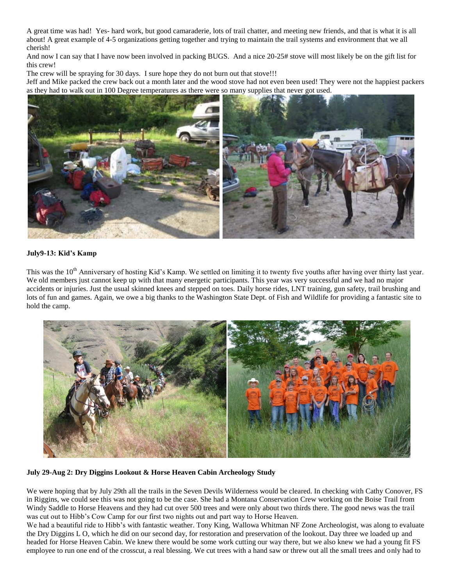A great time was had! Yes- hard work, but good camaraderie, lots of trail chatter, and meeting new friends, and that is what it is all about! A great example of 4-5 organizations getting together and trying to maintain the trail systems and environment that we all cherish!

And now I can say that I have now been involved in packing BUGS. And a nice 20-25# stove will most likely be on the gift list for this crew!

The crew will be spraying for 30 days. I sure hope they do not burn out that stove!!!

Jeff and Mike packed the crew back out a month later and the wood stove had not even been used! They were not the happiest packers as they had to walk out in 100 Degree temperatures as there were so many supplies that never got used.



## **July9-13: Kid's Kamp**

This was the 10<sup>th</sup> Anniversary of hosting Kid's Kamp. We settled on limiting it to twenty five youths after having over thirty last year. We old members just cannot keep up with that many energetic participants. This year was very successful and we had no major accidents or injuries. Just the usual skinned knees and stepped on toes. Daily horse rides, LNT training, gun safety, trail brushing and lots of fun and games. Again, we owe a big thanks to the Washington State Dept. of Fish and Wildlife for providing a fantastic site to hold the camp.



**July 29-Aug 2: Dry Diggins Lookout & Horse Heaven Cabin Archeology Study**

We were hoping that by July 29th all the trails in the Seven Devils Wilderness would be cleared. In checking with Cathy Conover, FS in Riggins, we could see this was not going to be the case. She had a Montana Conservation Crew working on the Boise Trail from Windy Saddle to Horse Heavens and they had cut over 500 trees and were only about two thirds there. The good news was the trail was cut out to Hibb's Cow Camp for our first two nights out and part way to Horse Heaven.

We had a beautiful ride to Hibb's with fantastic weather. Tony King, Wallowa Whitman NF Zone Archeologist, was along to evaluate the Dry Diggins L O, which he did on our second day, for restoration and preservation of the lookout. Day three we loaded up and headed for Horse Heaven Cabin. We knew there would be some work cutting our way there, but we also knew we had a young fit FS employee to run one end of the crosscut, a real blessing. We cut trees with a hand saw or threw out all the small trees and only had to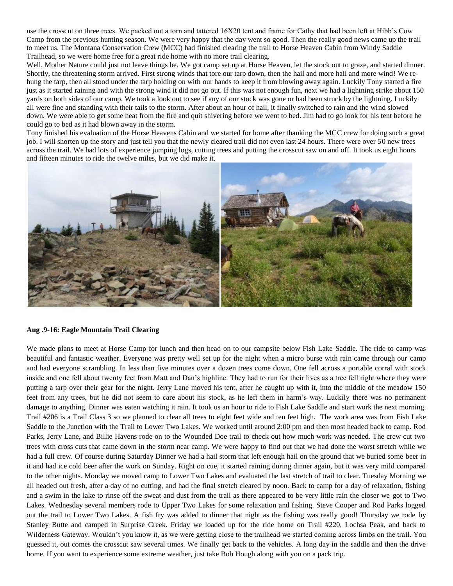use the crosscut on three trees. We packed out a torn and tattered 16X20 tent and frame for Cathy that had been left at Hibb's Cow Camp from the previous hunting season. We were very happy that the day went so good. Then the really good news came up the trail to meet us. The Montana Conservation Crew (MCC) had finished clearing the trail to Horse Heaven Cabin from Windy Saddle Trailhead, so we were home free for a great ride home with no more trail clearing.

Well, Mother Nature could just not leave things be. We got camp set up at Horse Heaven, let the stock out to graze, and started dinner. Shortly, the threatening storm arrived. First strong winds that tore our tarp down, then the hail and more hail and more wind! We rehung the tarp, then all stood under the tarp holding on with our hands to keep it from blowing away again. Luckily Tony started a fire just as it started raining and with the strong wind it did not go out. If this was not enough fun, next we had a lightning strike about 150 yards on both sides of our camp. We took a look out to see if any of our stock was gone or had been struck by the lightning. Luckily all were fine and standing with their tails to the storm. After about an hour of hail, it finally switched to rain and the wind slowed down. We were able to get some heat from the fire and quit shivering before we went to bed. Jim had to go look for his tent before he could go to bed as it had blown away in the storm.

Tony finished his evaluation of the Horse Heavens Cabin and we started for home after thanking the MCC crew for doing such a great job. I will shorten up the story and just tell you that the newly cleared trail did not even last 24 hours. There were over 50 new trees across the trail. We had lots of experience jumping logs, cutting trees and putting the crosscut saw on and off. It took us eight hours and fifteen minutes to ride the twelve miles, but we did make it.



#### **Aug .9-16: Eagle Mountain Trail Clearing**

We made plans to meet at Horse Camp for lunch and then head on to our campsite below Fish Lake Saddle. The ride to camp was beautiful and fantastic weather. Everyone was pretty well set up for the night when a micro burse with rain came through our camp and had everyone scrambling. In less than five minutes over a dozen trees come down. One fell across a portable corral with stock inside and one fell about twenty feet from Matt and Dan's highline. They had to run for their lives as a tree fell right where they were putting a tarp over their gear for the night. Jerry Lane moved his tent, after he caught up with it, into the middle of the meadow 150 feet from any trees, but he did not seem to care about his stock, as he left them in harm's way. Luckily there was no permanent damage to anything. Dinner was eaten watching it rain. It took us an hour to ride to Fish Lake Saddle and start work the next morning. Trail #206 is a Trail Class 3 so we planned to clear all trees to eight feet wide and ten feet high. The work area was from Fish Lake Saddle to the Junction with the Trail to Lower Two Lakes. We worked until around 2:00 pm and then most headed back to camp. Rod Parks, Jerry Lane, and Billie Havens rode on to the Wounded Doe trail to check out how much work was needed. The crew cut two trees with cross cuts that came down in the storm near camp. We were happy to find out that we had done the worst stretch while we had a full crew. Of course during Saturday Dinner we had a hail storm that left enough hail on the ground that we buried some beer in it and had ice cold beer after the work on Sunday. Right on cue, it started raining during dinner again, but it was very mild compared to the other nights. Monday we moved camp to Lower Two Lakes and evaluated the last stretch of trail to clear. Tuesday Morning we all headed out fresh, after a day of no cutting, and had the final stretch cleared by noon. Back to camp for a day of relaxation, fishing and a swim in the lake to rinse off the sweat and dust from the trail as there appeared to be very little rain the closer we got to Two Lakes. Wednesday several members rode to Upper Two Lakes for some relaxation and fishing. Steve Cooper and Rod Parks logged out the trail to Lower Two Lakes. A fish fry was added to dinner that night as the fishing was really good! Thursday we rode by Stanley Butte and camped in Surprise Creek. Friday we loaded up for the ride home on Trail #220, Lochsa Peak, and back to Wilderness Gateway. Wouldn't you know it, as we were getting close to the trailhead we started coming across limbs on the trail. You guessed it, out comes the crosscut saw several times. We finally get back to the vehicles. A long day in the saddle and then the drive home. If you want to experience some extreme weather, just take Bob Hough along with you on a pack trip.